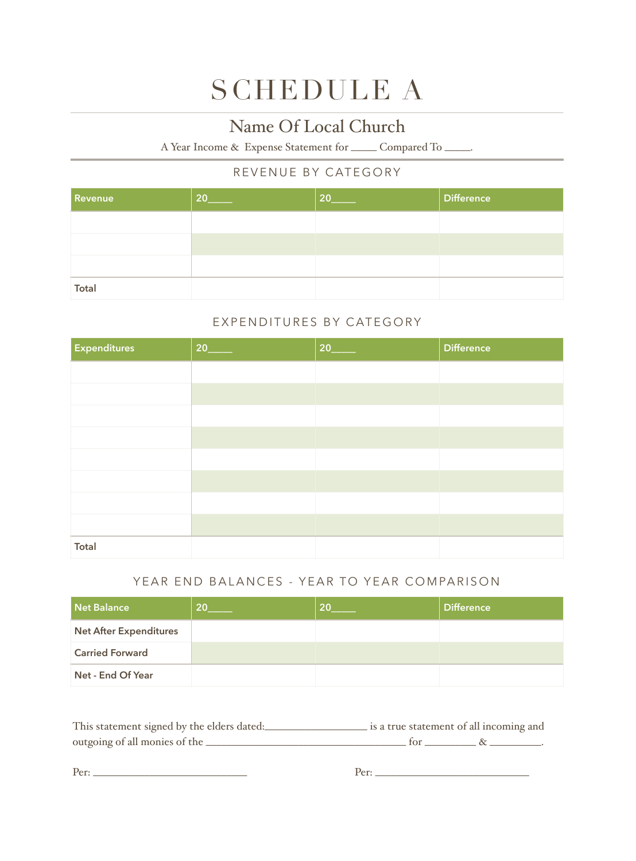# SCHEDULE A

### Name Of Local Church

A Year Income & Expense Statement for \_\_\_\_\_ Compared To \_\_\_\_\_.

### REVENUE BY CATEGORY

| <b>Revenue</b> | 20 | 20 | <b>Difference</b> |
|----------------|----|----|-------------------|
|                |    |    |                   |
|                |    |    |                   |
|                |    |    |                   |
| Total          |    |    |                   |

### EXPENDITURES BY CATEGORY

| <b>Expenditures</b> | 20 | 20 | <b>Difference</b> |
|---------------------|----|----|-------------------|
|                     |    |    |                   |
|                     |    |    |                   |
|                     |    |    |                   |
|                     |    |    |                   |
|                     |    |    |                   |
|                     |    |    |                   |
|                     |    |    |                   |
|                     |    |    |                   |
| <b>Total</b>        |    |    |                   |

### YEAR END BALANCES - YEAR TO YEAR COMPARISON

| Net Balance                   | 20 | 20 | <b>Difference</b> |
|-------------------------------|----|----|-------------------|
| <b>Net After Expenditures</b> |    |    |                   |
| <b>Carried Forward</b>        |    |    |                   |
| Net - End Of Year             |    |    |                   |

| This statement signed by the elders dated: | is a true statement of all incoming and |  |
|--------------------------------------------|-----------------------------------------|--|
| outgoing of all monies of the _            |                                         |  |

Per: \_\_\_\_\_\_\_\_\_\_\_\_\_\_\_\_\_\_\_\_\_\_\_\_\_\_\_\_\_\_ Per: \_\_\_\_\_\_\_\_\_\_\_\_\_\_\_\_\_\_\_\_\_\_\_\_\_\_\_\_\_\_